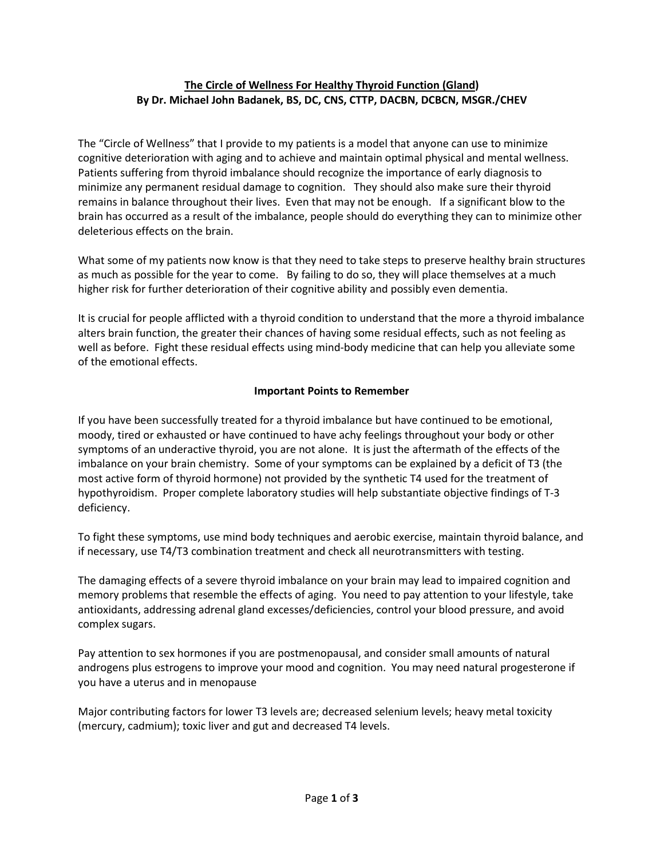## **The Circle of Wellness For Healthy Thyroid Function (Gland) By Dr. Michael John Badanek, BS, DC, CNS, CTTP, DACBN, DCBCN, MSGR./CHEV**

The "Circle of Wellness" that I provide to my patients is a model that anyone can use to minimize cognitive deterioration with aging and to achieve and maintain optimal physical and mental wellness. Patients suffering from thyroid imbalance should recognize the importance of early diagnosis to minimize any permanent residual damage to cognition. They should also make sure their thyroid remains in balance throughout their lives. Even that may not be enough. If a significant blow to the brain has occurred as a result of the imbalance, people should do everything they can to minimize other deleterious effects on the brain.

What some of my patients now know is that they need to take steps to preserve healthy brain structures as much as possible for the year to come. By failing to do so, they will place themselves at a much higher risk for further deterioration of their cognitive ability and possibly even dementia.

It is crucial for people afflicted with a thyroid condition to understand that the more a thyroid imbalance alters brain function, the greater their chances of having some residual effects, such as not feeling as well as before. Fight these residual effects using mind-body medicine that can help you alleviate some of the emotional effects.

## **Important Points to Remember**

If you have been successfully treated for a thyroid imbalance but have continued to be emotional, moody, tired or exhausted or have continued to have achy feelings throughout your body or other symptoms of an underactive thyroid, you are not alone. It is just the aftermath of the effects of the imbalance on your brain chemistry. Some of your symptoms can be explained by a deficit of T3 (the most active form of thyroid hormone) not provided by the synthetic T4 used for the treatment of hypothyroidism. Proper complete laboratory studies will help substantiate objective findings of T-3 deficiency.

To fight these symptoms, use mind body techniques and aerobic exercise, maintain thyroid balance, and if necessary, use T4/T3 combination treatment and check all neurotransmitters with testing.

The damaging effects of a severe thyroid imbalance on your brain may lead to impaired cognition and memory problems that resemble the effects of aging. You need to pay attention to your lifestyle, take antioxidants, addressing adrenal gland excesses/deficiencies, control your blood pressure, and avoid complex sugars.

Pay attention to sex hormones if you are postmenopausal, and consider small amounts of natural androgens plus estrogens to improve your mood and cognition. You may need natural progesterone if you have a uterus and in menopause

Major contributing factors for lower T3 levels are; decreased selenium levels; heavy metal toxicity (mercury, cadmium); toxic liver and gut and decreased T4 levels.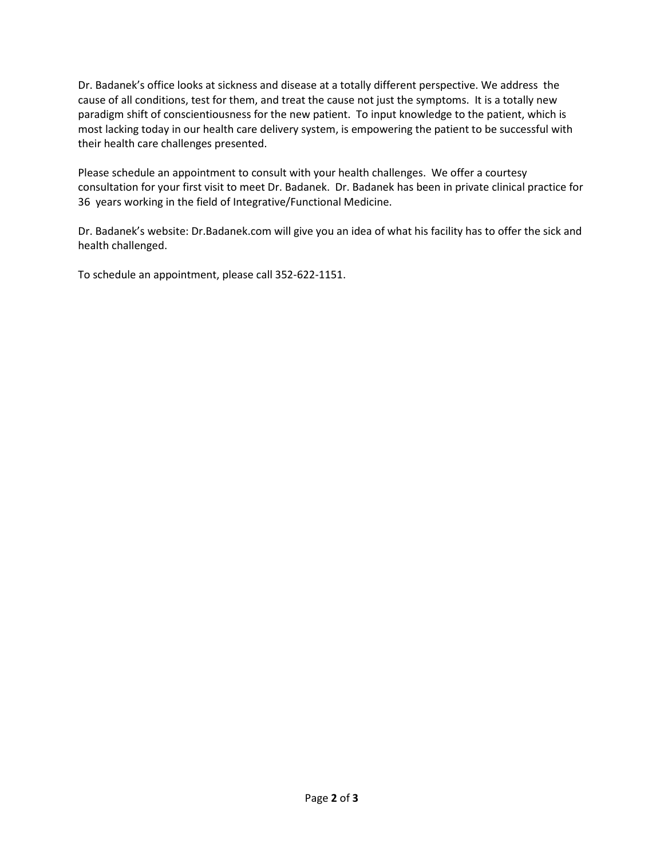Dr. Badanek's office looks at sickness and disease at a totally different perspective. We address the cause of all conditions, test for them, and treat the cause not just the symptoms. It is a totally new paradigm shift of conscientiousness for the new patient. To input knowledge to the patient, which is most lacking today in our health care delivery system, is empowering the patient to be successful with their health care challenges presented.

Please schedule an appointment to consult with your health challenges. We offer a courtesy consultation for your first visit to meet Dr. Badanek. Dr. Badanek has been in private clinical practice for 36 years working in the field of Integrative/Functional Medicine.

Dr. Badanek's website: Dr.Badanek.com will give you an idea of what his facility has to offer the sick and health challenged.

To schedule an appointment, please call 352-622-1151.